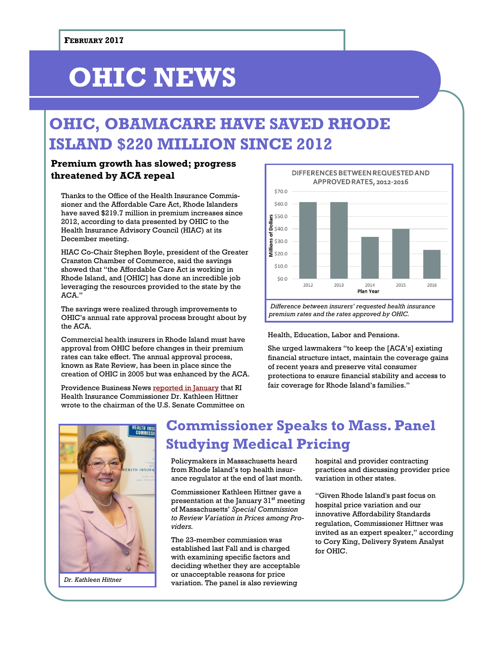# **OHIC NEWS**

### **OHIC, OBAMACARE HAVE SAVED RHODE ISLAND \$220 MILLION SINCE 2012**

#### **Premium growth has slowed; progress threatened by ACA repeal**

Thanks to the Office of the Health Insurance Commissioner and the Affordable Care Act, Rhode Islanders have saved \$219.7 million in premium increases since 2012, according to data presented by OHIC to the Health Insurance Advisory Council (HIAC) at its December meeting.

HIAC Co-Chair Stephen Boyle, president of the Greater Cranston Chamber of Commerce, said the savings showed that "the Affordable Care Act is working in Rhode Island, and [OHIC] has done an incredible job leveraging the resources provided to the state by the ACA."

The savings were realized through improvements to OHIC's annual rate approval process brought about by the  $ACA$ 

Commercial health insurers in Rhode Island must have approval from OHIC before changes in their premium rates can take effect. The annual approval process, known as Rate Review, has been in place since the creation of OHIC in 2005 but was enhanced by the ACA.

Providence Business News [reported in January](http://pbn.com/Hittner-ACA-has-helped-RI-save-220M-since-2012,119828) that RI Health Insurance Commissioner Dr. Kathleen Hittner wrote to the chairman of the U.S. Senate Committee on



Health, Education, Labor and Pensions.

She urged lawmakers "to keep the [ACA's] existing financial structure intact, maintain the coverage gains of recent years and preserve vital consumer protections to ensure financial stability and access to fair coverage for Rhode Island's families."



*Dr. Kathleen Hittner*

### **Commissioner Speaks to Mass. Panel Studying Medical Pricing**

Policymakers in Massachusetts heard from Rhode Island's top health insurance regulator at the end of last month.

Commissioner Kathleen Hittner gave a presentation at the January 31<sup>st</sup> meeting of Massachusetts' *Special Commission to Review Variation in Prices among Providers.*

The 23-member commission was established last Fall and is charged with examining specific factors and deciding whether they are acceptable or unacceptable reasons for price variation. The panel is also reviewing

hospital and provider contracting practices and discussing provider price variation in other states.

"Given Rhode Island's past focus on hospital price variation and our innovative Affordability Standards regulation, Commissioner Hittner was invited as an expert speaker," according to Cory King, Delivery System Analyst for OHIC.